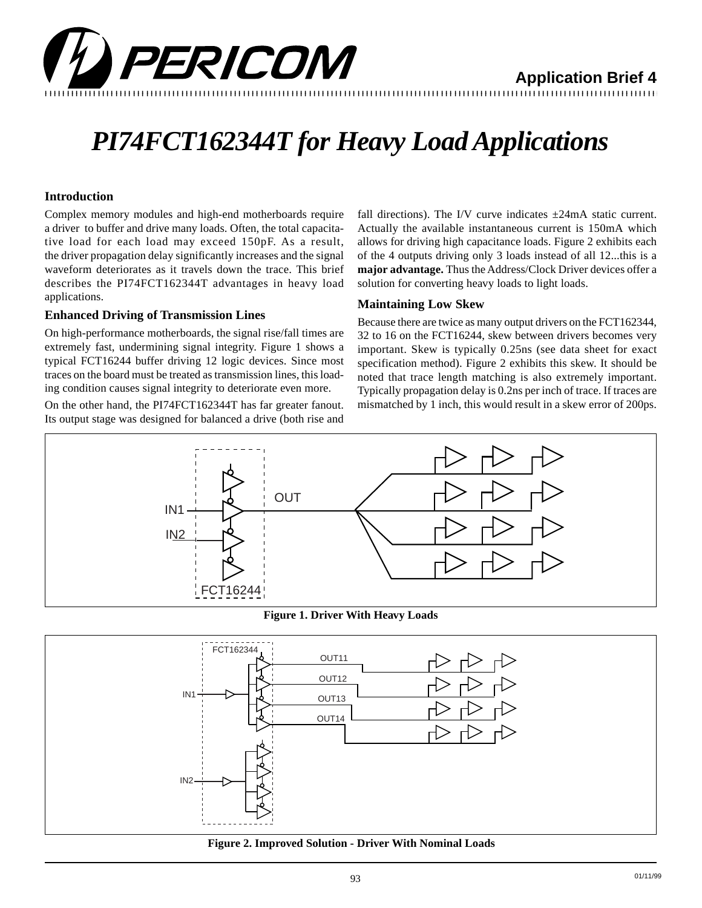

**Application Brief 4**

# *PI74FCT162344T for Heavy Load Applications*

### **Introduction**

Complex memory modules and high-end motherboards require a driver to buffer and drive many loads. Often, the total capacitative load for each load may exceed 150pF. As a result, the driver propagation delay significantly increases and the signal waveform deteriorates as it travels down the trace. This brief describes the PI74FCT162344T advantages in heavy load applications.

### **Enhanced Driving of Transmission Lines**

On high-performance motherboards, the signal rise/fall times are extremely fast, undermining signal integrity. Figure 1 shows a typical FCT16244 buffer driving 12 logic devices. Since most traces on the board must be treated as transmission lines, this loading condition causes signal integrity to deteriorate even more.

On the other hand, the PI74FCT162344T has far greater fanout. Its output stage was designed for balanced a drive (both rise and

fall directions). The I/V curve indicates  $\pm 24$ mA static current. Actually the available instantaneous current is 150mA which allows for driving high capacitance loads. Figure 2 exhibits each of the 4 outputs driving only 3 loads instead of all 12...this is a **major advantage.** Thus the Address/Clock Driver devices offer a solution for converting heavy loads to light loads.

### **Maintaining Low Skew**

Because there are twice as many output drivers on the FCT162344, 32 to 16 on the FCT16244, skew between drivers becomes very important. Skew is typically 0.25ns (see data sheet for exact specification method). Figure 2 exhibits this skew. It should be noted that trace length matching is also extremely important. Typically propagation delay is 0.2ns per inch of trace. If traces are mismatched by 1 inch, this would result in a skew error of 200ps.



**Figure 1. Driver With Heavy Loads**



**Figure 2. Improved Solution - Driver With Nominal Loads**